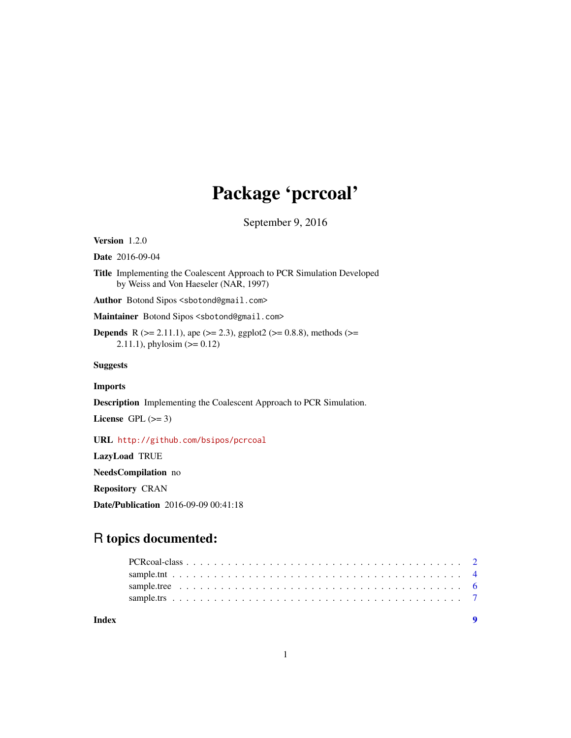## Package 'pcrcoal'

September 9, 2016

<span id="page-0-0"></span>Version 1.2.0

Date 2016-09-04

Title Implementing the Coalescent Approach to PCR Simulation Developed by Weiss and Von Haeseler (NAR, 1997)

Author Botond Sipos <sbotond@gmail.com>

Maintainer Botond Sipos <sbotond@gmail.com>

**Depends** R ( $>= 2.11.1$ ), ape ( $>= 2.3$ ), ggplot2 ( $>= 0.8.8$ ), methods ( $>=$ 2.11.1), phylosim  $(>= 0.12)$ 

Suggests

Imports

Description Implementing the Coalescent Approach to PCR Simulation.

License GPL  $(>= 3)$ 

URL <http://github.com/bsipos/pcrcoal>

LazyLoad TRUE

NeedsCompilation no

Repository CRAN

Date/Publication 2016-09-09 00:41:18

## R topics documented:

| Index | $\bullet$ |
|-------|-----------|
|       |           |
|       |           |
|       |           |
|       |           |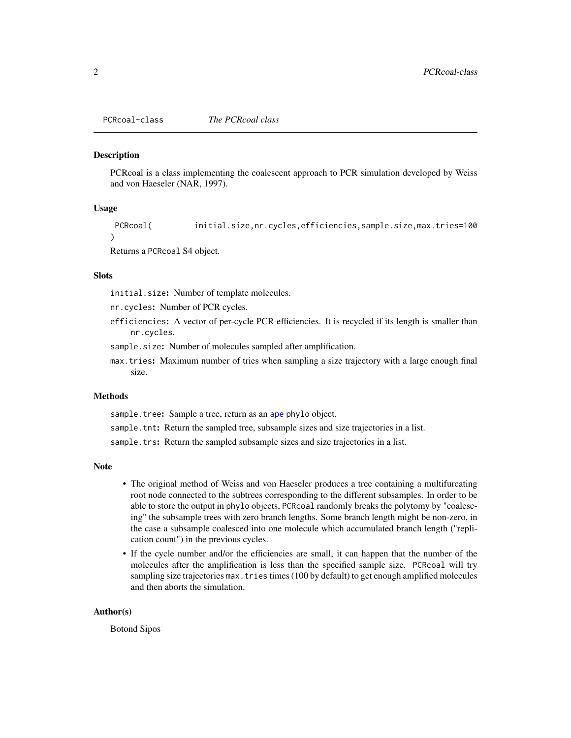<span id="page-1-0"></span>PCRcoal-class *The PCRcoal class*

#### <span id="page-1-1"></span>Description

PCRcoal is a class implementing the coalescent approach to PCR simulation developed by Weiss and von Haeseler (NAR, 1997).

#### Usage

```
PCRcoal( initial.size,nr.cycles,efficiencies,sample.size,max.tries=100
)
```
Returns a PCRcoal S4 object.

## **Slots**

initial.size: Number of template molecules.

nr.cycles: Number of PCR cycles.

efficiencies: A vector of per-cycle PCR efficiencies. It is recycled if its length is smaller than nr.cycles.

sample.size: Number of molecules sampled after amplification.

max.tries: Maximum number of tries when sampling a size trajectory with a large enough final size.

#### Methods

sample.tree: Sample a tree, return as an [ape](#page-0-0) phylo object.

sample.tnt: Return the sampled tree, subsample sizes and size trajectories in a list.

sample.trs: Return the sampled subsample sizes and size trajectories in a list.

#### Note

- The original method of Weiss and von Haeseler produces a tree containing a multifurcating root node connected to the subtrees corresponding to the different subsamples. In order to be able to store the output in phylo objects, PCRcoal randomly breaks the polytomy by "coalescing" the subsample trees with zero branch lengths. Some branch length might be non-zero, in the case a subsample coalesced into one molecule which accumulated branch length ("replication count") in the previous cycles.
- If the cycle number and/or the efficiencies are small, it can happen that the number of the molecules after the amplification is less than the specified sample size. PCRcoal will try sampling size trajectories max. tries times (100 by default) to get enough amplified molecules and then aborts the simulation.

#### Author(s)

Botond Sipos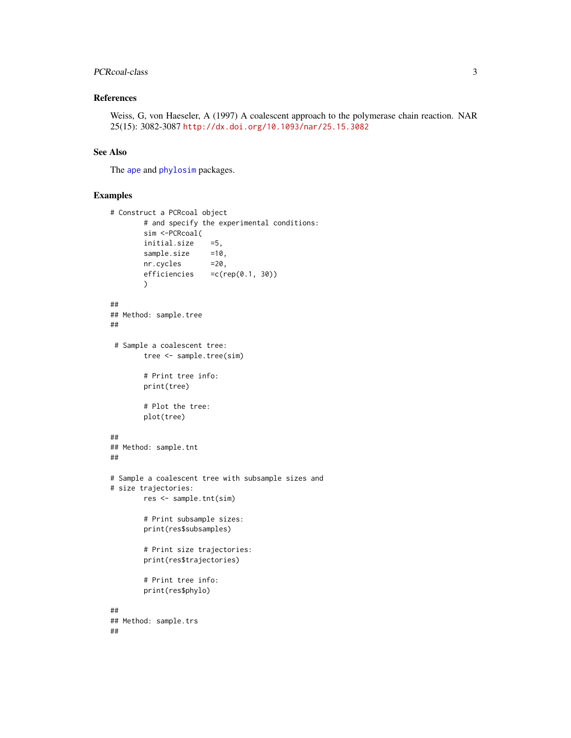## <span id="page-2-0"></span>PCRcoal-class 3

## References

Weiss, G, von Haeseler, A (1997) A coalescent approach to the polymerase chain reaction. NAR 25(15): 3082-3087 <http://dx.doi.org/10.1093/nar/25.15.3082>

#### See Also

The [ape](#page-0-0) and [phylosim](#page-0-0) packages.

```
# Construct a PCRcoal object
       # and specify the experimental conditions:
       sim <-PCRcoal(
       initial.size =5,
       sample.size =10,
       nr.cycles =20,
       efficiencies =c(rep(0.1, 30))
       )
##
## Method: sample.tree
##
# Sample a coalescent tree:
       tree <- sample.tree(sim)
       # Print tree info:
       print(tree)
       # Plot the tree:
       plot(tree)
##
## Method: sample.tnt
##
# Sample a coalescent tree with subsample sizes and
# size trajectories:
       res <- sample.tnt(sim)
       # Print subsample sizes:
       print(res$subsamples)
       # Print size trajectories:
       print(res$trajectories)
       # Print tree info:
       print(res$phylo)
##
## Method: sample.trs
##
```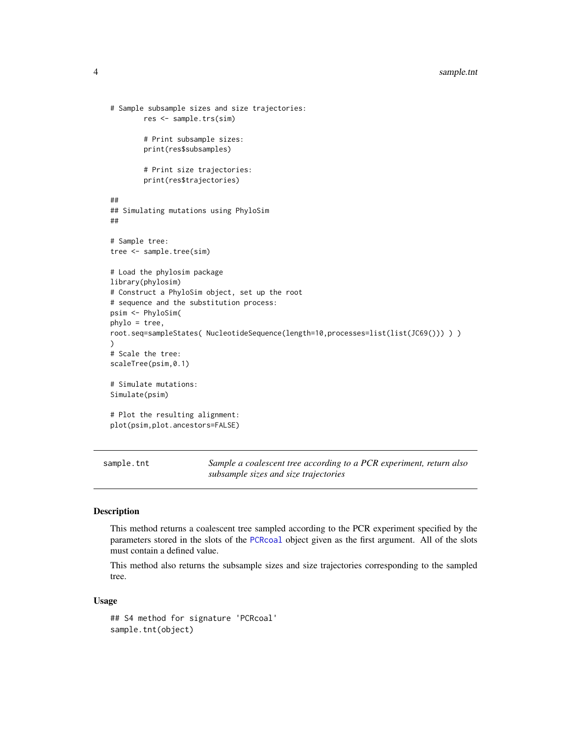```
# Sample subsample sizes and size trajectories:
        res <- sample.trs(sim)
        # Print subsample sizes:
        print(res$subsamples)
        # Print size trajectories:
        print(res$trajectories)
##
## Simulating mutations using PhyloSim
##
# Sample tree:
tree <- sample.tree(sim)
# Load the phylosim package
library(phylosim)
# Construct a PhyloSim object, set up the root
# sequence and the substitution process:
psim <- PhyloSim(
phylo = tree,
root.seq=sampleStates( NucleotideSequence(length=10,processes=list(list(JC69())) ) )
)
# Scale the tree:
scaleTree(psim,0.1)
# Simulate mutations:
Simulate(psim)
# Plot the resulting alignment:
plot(psim,plot.ancestors=FALSE)
```
<span id="page-3-1"></span>sample.tnt *Sample a coalescent tree according to a PCR experiment, return also subsample sizes and size trajectories*

#### Description

This method returns a coalescent tree sampled according to the PCR experiment specified by the parameters stored in the slots of the [PCRcoal](#page-1-1) object given as the first argument. All of the slots must contain a defined value.

This method also returns the subsample sizes and size trajectories corresponding to the sampled tree.

#### Usage

```
## S4 method for signature 'PCRcoal'
sample.tnt(object)
```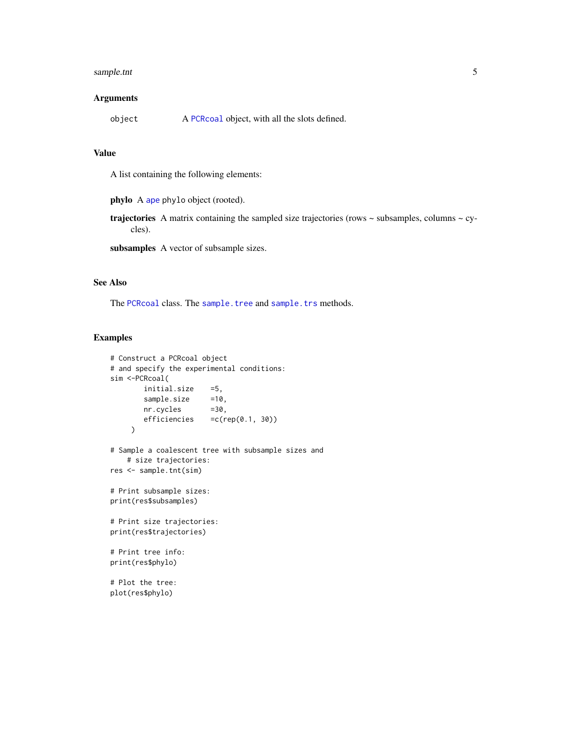## <span id="page-4-0"></span>sample.tnt 5

### Arguments

| object | A PCRcoal object, with all the slots defined. |
|--------|-----------------------------------------------|
|--------|-----------------------------------------------|

## Value

A list containing the following elements:

phylo A [ape](#page-0-0) phylo object (rooted).

**trajectories** A matrix containing the sampled size trajectories (rows  $\sim$  subsamples, columns  $\sim$  cycles).

subsamples A vector of subsample sizes.

## See Also

The [PCRcoal](#page-1-1) class. The [sample.tree](#page-5-1) and [sample.trs](#page-6-1) methods.

```
# Construct a PCRcoal object
# and specify the experimental conditions:
sim <-PCRcoal(
       initial.size =5,
       sample.size =10,
       nr.cycles =30,
       efficiencies =c(rep(0.1, 30))
    \mathcal{L}# Sample a coalescent tree with subsample sizes and
   # size trajectories:
res <- sample.tnt(sim)
# Print subsample sizes:
print(res$subsamples)
# Print size trajectories:
print(res$trajectories)
# Print tree info:
print(res$phylo)
# Plot the tree:
plot(res$phylo)
```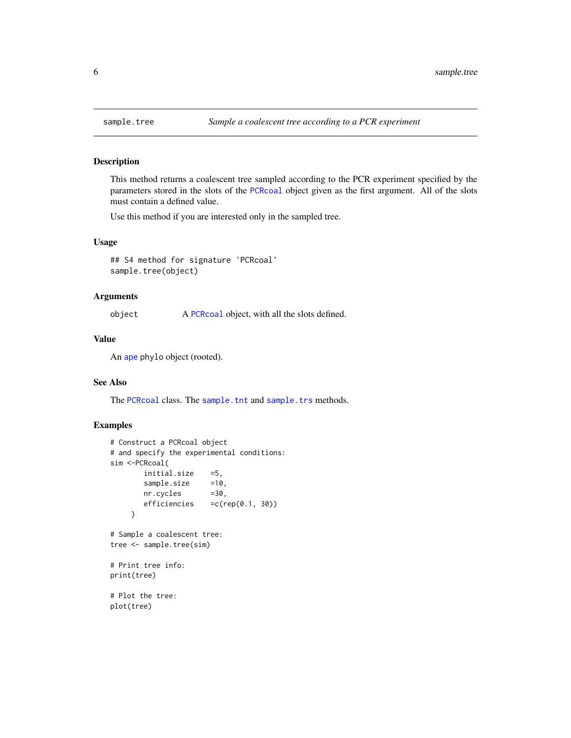<span id="page-5-1"></span><span id="page-5-0"></span>

#### Description

This method returns a coalescent tree sampled according to the PCR experiment specified by the parameters stored in the slots of the [PCRcoal](#page-1-1) object given as the first argument. All of the slots must contain a defined value.

Use this method if you are interested only in the sampled tree.

## Usage

## S4 method for signature 'PCRcoal' sample.tree(object)

#### Arguments

object A [PCRcoal](#page-1-1) object, with all the slots defined.

#### Value

An [ape](#page-0-0) phylo object (rooted).

## See Also

The [PCRcoal](#page-1-1) class. The [sample.tnt](#page-3-1) and [sample.trs](#page-6-1) methods.

```
# Construct a PCRcoal object
# and specify the experimental conditions:
sim <-PCRcoal(
       initial.size =5,
       sample.size =10,
       nr.cycles =30,
       efficiencies =c(rep(0.1, 30))
    \lambda# Sample a coalescent tree:
tree <- sample.tree(sim)
# Print tree info:
print(tree)
# Plot the tree:
plot(tree)
```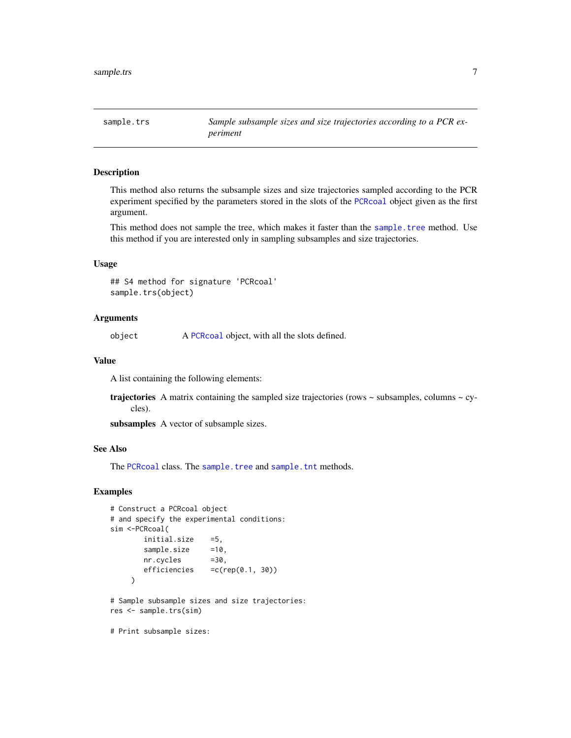<span id="page-6-1"></span><span id="page-6-0"></span>sample.trs *Sample subsample sizes and size trajectories according to a PCR experiment*

#### Description

This method also returns the subsample sizes and size trajectories sampled according to the PCR experiment specified by the parameters stored in the slots of the [PCRcoal](#page-1-1) object given as the first argument.

This method does not sample the tree, which makes it faster than the [sample.tree](#page-5-1) method. Use this method if you are interested only in sampling subsamples and size trajectories.

## Usage

## S4 method for signature 'PCRcoal' sample.trs(object)

## Arguments

object A [PCRcoal](#page-1-1) object, with all the slots defined.

#### Value

A list containing the following elements:

**trajectories** A matrix containing the sampled size trajectories (rows  $\sim$  subsamples, columns  $\sim$  cycles).

subsamples A vector of subsample sizes.

#### See Also

The [PCRcoal](#page-1-1) class. The [sample.tree](#page-5-1) and [sample.tnt](#page-3-1) methods.

```
# Construct a PCRcoal object
# and specify the experimental conditions:
sim <-PCRcoal(
       initial.size =5,
       sample.size =10,
       nr.cycles =30,
       efficiencies =c(rep(0.1, 30))
    )
# Sample subsample sizes and size trajectories:
res <- sample.trs(sim)
# Print subsample sizes:
```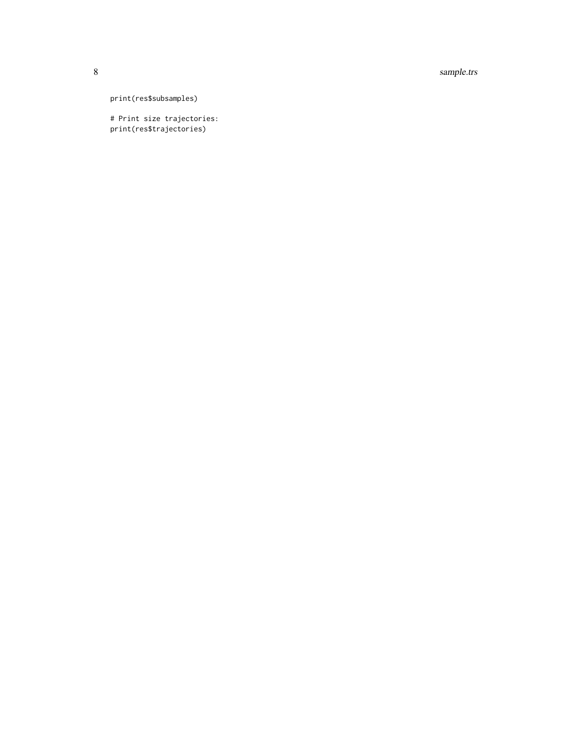8 sample.trs

print(res\$subsamples)

# Print size trajectories: print(res\$trajectories)